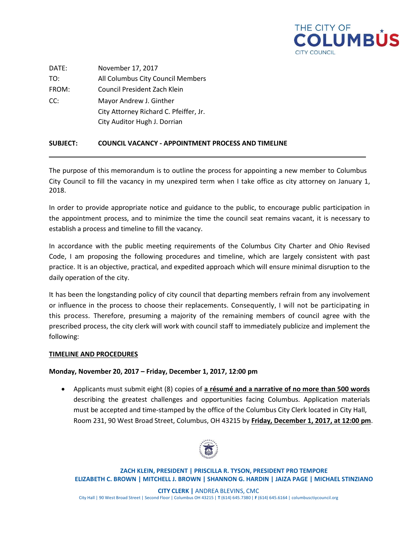

DATE: November 17, 2017 TO: All Columbus City Council Members FROM: Council President Zach Klein CC: Mayor Andrew J. Ginther City Attorney Richard C. Pfeiffer, Jr. City Auditor Hugh J. Dorrian

# **SUBJECT: COUNCIL VACANCY - APPOINTMENT PROCESS AND TIMELINE**

The purpose of this memorandum is to outline the process for appointing a new member to Columbus City Council to fill the vacancy in my unexpired term when I take office as city attorney on January 1, 2018.

In order to provide appropriate notice and guidance to the public, to encourage public participation in the appointment process, and to minimize the time the council seat remains vacant, it is necessary to establish a process and timeline to fill the vacancy.

In accordance with the public meeting requirements of the Columbus City Charter and Ohio Revised Code, I am proposing the following procedures and timeline, which are largely consistent with past practice. It is an objective, practical, and expedited approach which will ensure minimal disruption to the daily operation of the city.

It has been the longstanding policy of city council that departing members refrain from any involvement or influence in the process to choose their replacements. Consequently, I will not be participating in this process. Therefore, presuming a majority of the remaining members of council agree with the prescribed process, the city clerk will work with council staff to immediately publicize and implement the following:

#### **TIMELINE AND PROCEDURES**

#### **Monday, November 20, 2017 – Friday, December 1, 2017, 12:00 pm**

 Applicants must submit eight (8) copies of **a résumé and a narrative of no more than 500 words** describing the greatest challenges and opportunities facing Columbus. Application materials must be accepted and time-stamped by the office of the Columbus City Clerk located in City Hall, Room 231, 90 West Broad Street, Columbus, OH 43215 by **Friday, December 1, 2017, at 12:00 pm**.



**ZACH KLEIN, PRESIDENT | PRISCILLA R. TYSON, PRESIDENT PRO TEMPORE ELIZABETH C. BROWN | MITCHELL J. BROWN | SHANNON G. HARDIN | JAIZA PAGE | MICHAEL STINZIANO**

**CITY CLERK |** ANDREA BLEVINS, CMC City Hall | 90 West Broad Street | Second Floor | Columbus OH 43215 | **T** (614) 645.7380 | **F** (614) 645.6164 | columbusctiycouncil.org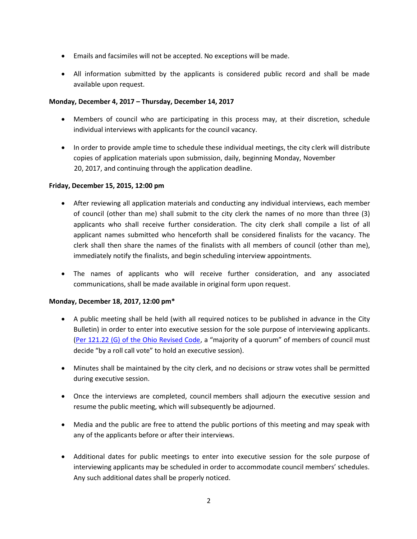- Emails and facsimiles will not be accepted. No exceptions will be made.
- All information submitted by the applicants is considered public record and shall be made available upon request.

## **Monday, December 4, 2017 – Thursday, December 14, 2017**

- Members of council who are participating in this process may, at their discretion, schedule individual interviews with applicants for the council vacancy.
- In order to provide ample time to schedule these individual meetings, the city clerk will distribute copies of application materials upon submission, daily, beginning Monday, November 20, 2017, and continuing through the application deadline.

### **Friday, December 15, 2015, 12:00 pm**

- After reviewing all application materials and conducting any individual interviews, each member of council (other than me) shall submit to the city clerk the names of no more than three (3) applicants who shall receive further consideration. The city clerk shall compile a list of all applicant names submitted who henceforth shall be considered finalists for the vacancy. The clerk shall then share the names of the finalists with all members of council (other than me), immediately notify the finalists, and begin scheduling interview appointments.
- The names of applicants who will receive further consideration, and any associated communications, shall be made available in original form upon request.

# **Monday, December 18, 2017, 12:00 pm\***

- A public meeting shall be held (with all required notices to be published in advance in the City Bulletin) in order to enter into executive session for the sole purpose of interviewing applicants. (Per 121.22 (G) of the Ohio [Revised](http://codes.ohio.gov/orc/121.22) Code, a "majority of a quorum" of members of council must decide "by a roll call vote" to hold an executive session).
- Minutes shall be maintained by the city clerk, and no decisions or straw votes shall be permitted during executive session.
- Once the interviews are completed, council members shall adjourn the executive session and resume the public meeting, which will subsequently be adjourned.
- Media and the public are free to attend the public portions of this meeting and may speak with any of the applicants before or after their interviews.
- Additional dates for public meetings to enter into executive session for the sole purpose of interviewing applicants may be scheduled in order to accommodate council members' schedules. Any such additional dates shall be properly noticed.